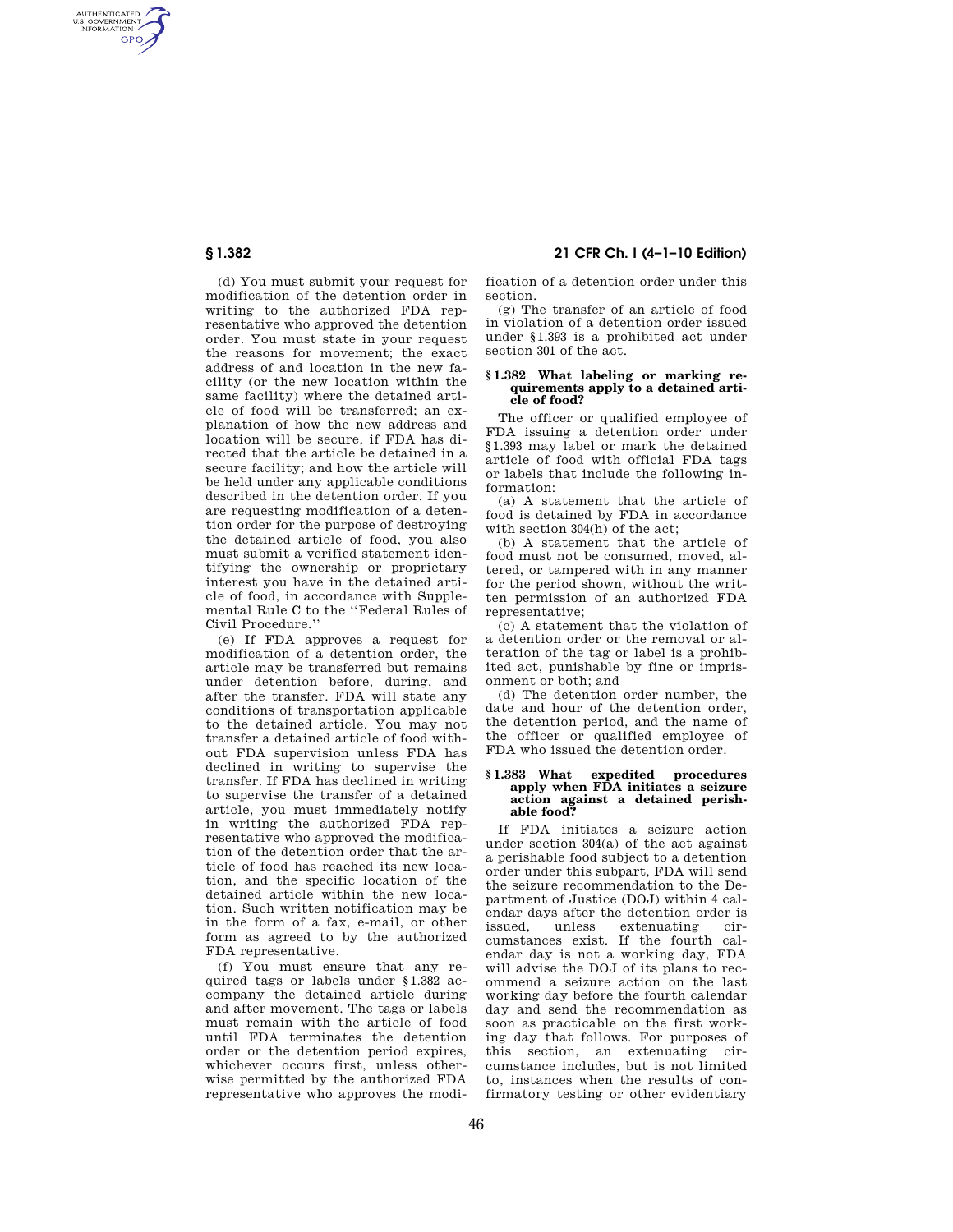AUTHENTICATED<br>U.S. GOVERNMENT<br>INFORMATION **GPO** 

> (d) You must submit your request for modification of the detention order in writing to the authorized FDA representative who approved the detention order. You must state in your request the reasons for movement; the exact address of and location in the new facility (or the new location within the same facility) where the detained article of food will be transferred; an explanation of how the new address and location will be secure, if FDA has directed that the article be detained in a secure facility; and how the article will be held under any applicable conditions described in the detention order. If you are requesting modification of a detention order for the purpose of destroying the detained article of food, you also must submit a verified statement identifying the ownership or proprietary interest you have in the detained article of food, in accordance with Supplemental Rule C to the ''Federal Rules of Civil Procedure.''

> (e) If FDA approves a request for modification of a detention order, the article may be transferred but remains under detention before, during, and after the transfer. FDA will state any conditions of transportation applicable to the detained article. You may not transfer a detained article of food without FDA supervision unless FDA has declined in writing to supervise the transfer. If FDA has declined in writing to supervise the transfer of a detained article, you must immediately notify in writing the authorized FDA representative who approved the modification of the detention order that the article of food has reached its new location, and the specific location of the detained article within the new location. Such written notification may be in the form of a fax, e-mail, or other form as agreed to by the authorized FDA representative.

> (f) You must ensure that any required tags or labels under §1.382 accompany the detained article during and after movement. The tags or labels must remain with the article of food until FDA terminates the detention order or the detention period expires, whichever occurs first, unless otherwise permitted by the authorized FDA representative who approves the modi-

# **§ 1.382 21 CFR Ch. I (4–1–10 Edition)**

fication of a detention order under this section.

(g) The transfer of an article of food in violation of a detention order issued under §1.393 is a prohibited act under section 301 of the act.

#### **§ 1.382 What labeling or marking requirements apply to a detained article of food?**

The officer or qualified employee of FDA issuing a detention order under §1.393 may label or mark the detained article of food with official FDA tags or labels that include the following information:

(a) A statement that the article of food is detained by FDA in accordance with section 304(h) of the act;

(b) A statement that the article of food must not be consumed, moved, altered, or tampered with in any manner for the period shown, without the written permission of an authorized FDA representative;

(c) A statement that the violation of a detention order or the removal or alteration of the tag or label is a prohibited act, punishable by fine or imprisonment or both; and

(d) The detention order number, the date and hour of the detention order, the detention period, and the name of the officer or qualified employee of FDA who issued the detention order.

# **§ 1.383 What expedited procedures apply when FDA initiates a seizure action against a detained perish-able food?**

If FDA initiates a seizure action under section 304(a) of the act against a perishable food subject to a detention order under this subpart, FDA will send the seizure recommendation to the Department of Justice (DOJ) within 4 calendar days after the detention order is issued, unless extenuating circumstances exist. If the fourth calendar day is not a working day, FDA will advise the DOJ of its plans to recommend a seizure action on the last working day before the fourth calendar day and send the recommendation as soon as practicable on the first working day that follows. For purposes of this section, an extenuating circumstance includes, but is not limited to, instances when the results of confirmatory testing or other evidentiary